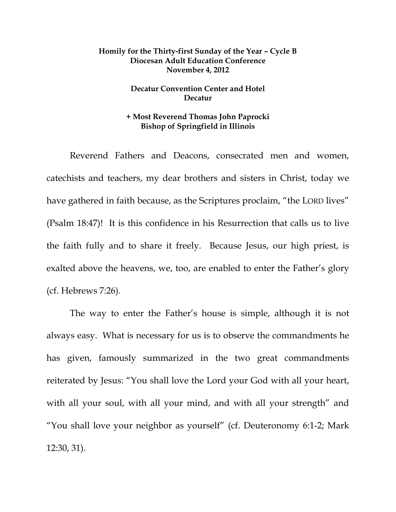## **Homily for the Thirty-first Sunday of the Year – Cycle B Diocesan Adult Education Conference November 4, 2012**

## **Decatur Convention Center and Hotel Decatur**

## **+ Most Reverend Thomas John Paprocki Bishop of Springfield in Illinois**

 Reverend Fathers and Deacons, consecrated men and women, catechists and teachers, my dear brothers and sisters in Christ, today we have gathered in faith because, as the Scriptures proclaim, "the LORD lives" (Psalm 18:47)! It is this confidence in his Resurrection that calls us to live the faith fully and to share it freely. Because Jesus, our high priest, is exalted above the heavens, we, too, are enabled to enter the Father's glory (cf. Hebrews 7:26).

The way to enter the Father's house is simple, although it is not always easy. What is necessary for us is to observe the commandments he has given, famously summarized in the two great commandments reiterated by Jesus: "You shall love the Lord your God with all your heart, with all your soul, with all your mind, and with all your strength" and "You shall love your neighbor as yourself" (cf. Deuteronomy 6:1-2; Mark 12:30, 31).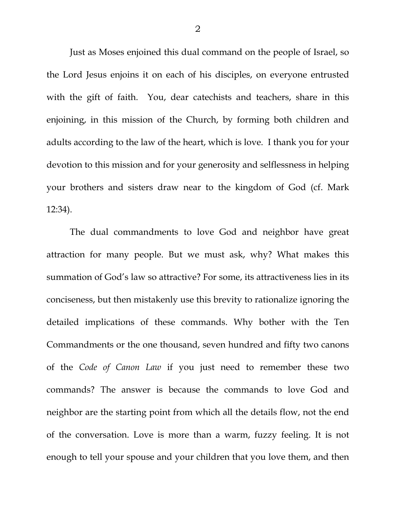Just as Moses enjoined this dual command on the people of Israel, so the Lord Jesus enjoins it on each of his disciples, on everyone entrusted with the gift of faith. You, dear catechists and teachers, share in this enjoining, in this mission of the Church, by forming both children and adults according to the law of the heart, which is love. I thank you for your devotion to this mission and for your generosity and selflessness in helping your brothers and sisters draw near to the kingdom of God (cf. Mark 12:34).

 The dual commandments to love God and neighbor have great attraction for many people. But we must ask, why? What makes this summation of God's law so attractive? For some, its attractiveness lies in its conciseness, but then mistakenly use this brevity to rationalize ignoring the detailed implications of these commands. Why bother with the Ten Commandments or the one thousand, seven hundred and fifty two canons of the *Code of Canon Law* if you just need to remember these two commands? The answer is because the commands to love God and neighbor are the starting point from which all the details flow, not the end of the conversation. Love is more than a warm, fuzzy feeling. It is not enough to tell your spouse and your children that you love them, and then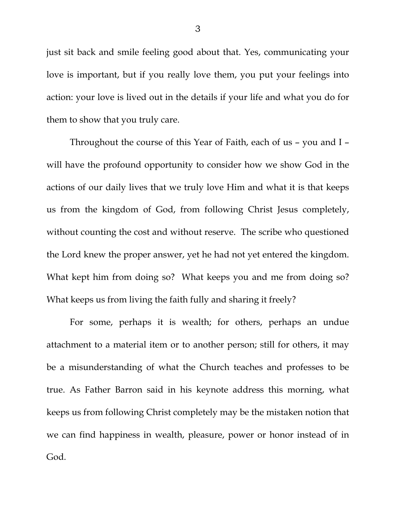just sit back and smile feeling good about that. Yes, communicating your love is important, but if you really love them, you put your feelings into action: your love is lived out in the details if your life and what you do for them to show that you truly care.

 Throughout the course of this Year of Faith, each of us – you and I – will have the profound opportunity to consider how we show God in the actions of our daily lives that we truly love Him and what it is that keeps us from the kingdom of God, from following Christ Jesus completely, without counting the cost and without reserve. The scribe who questioned the Lord knew the proper answer, yet he had not yet entered the kingdom. What kept him from doing so? What keeps you and me from doing so? What keeps us from living the faith fully and sharing it freely?

 For some, perhaps it is wealth; for others, perhaps an undue attachment to a material item or to another person; still for others, it may be a misunderstanding of what the Church teaches and professes to be true. As Father Barron said in his keynote address this morning, what keeps us from following Christ completely may be the mistaken notion that we can find happiness in wealth, pleasure, power or honor instead of in God.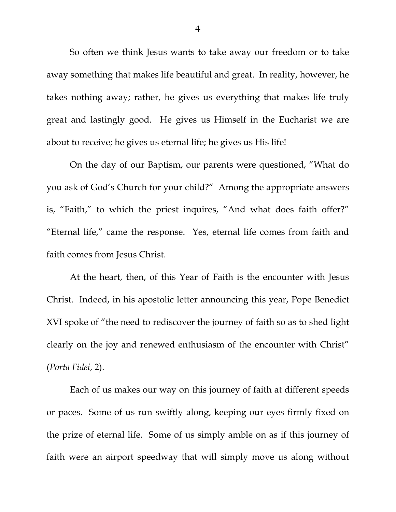So often we think Jesus wants to take away our freedom or to take away something that makes life beautiful and great. In reality, however, he takes nothing away; rather, he gives us everything that makes life truly great and lastingly good. He gives us Himself in the Eucharist we are about to receive; he gives us eternal life; he gives us His life!

 On the day of our Baptism, our parents were questioned, "What do you ask of God's Church for your child?" Among the appropriate answers is, "Faith," to which the priest inquires, "And what does faith offer?" "Eternal life," came the response. Yes, eternal life comes from faith and faith comes from Jesus Christ.

 At the heart, then, of this Year of Faith is the encounter with Jesus Christ. Indeed, in his apostolic letter announcing this year, Pope Benedict XVI spoke of "the need to rediscover the journey of faith so as to shed light clearly on the joy and renewed enthusiasm of the encounter with Christ" (*Porta Fidei*, 2).

 Each of us makes our way on this journey of faith at different speeds or paces. Some of us run swiftly along, keeping our eyes firmly fixed on the prize of eternal life. Some of us simply amble on as if this journey of faith were an airport speedway that will simply move us along without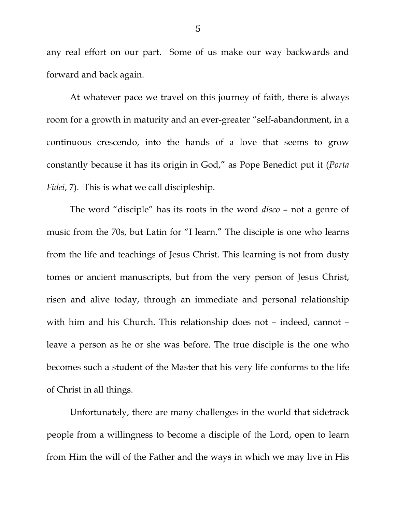any real effort on our part. Some of us make our way backwards and forward and back again.

 At whatever pace we travel on this journey of faith, there is always room for a growth in maturity and an ever-greater "self-abandonment, in a continuous crescendo, into the hands of a love that seems to grow constantly because it has its origin in God," as Pope Benedict put it (*Porta Fidei*, 7). This is what we call discipleship.

The word "disciple" has its roots in the word *disco* – not a genre of music from the 70s, but Latin for "I learn." The disciple is one who learns from the life and teachings of Jesus Christ. This learning is not from dusty tomes or ancient manuscripts, but from the very person of Jesus Christ, risen and alive today, through an immediate and personal relationship with him and his Church. This relationship does not – indeed, cannot – leave a person as he or she was before. The true disciple is the one who becomes such a student of the Master that his very life conforms to the life of Christ in all things.

Unfortunately, there are many challenges in the world that sidetrack people from a willingness to become a disciple of the Lord, open to learn from Him the will of the Father and the ways in which we may live in His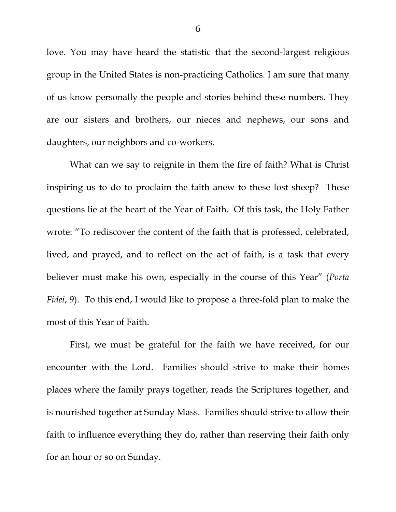love. You may have heard the statistic that the second-largest religious group in the United States is non-practicing Catholics. I am sure that many of us know personally the people and stories behind these numbers. They are our sisters and brothers, our nieces and nephews, our sons and daughters, our neighbors and co-workers.

What can we say to reignite in them the fire of faith? What is Christ inspiring us to do to proclaim the faith anew to these lost sheep? These questions lie at the heart of the Year of Faith. Of this task, the Holy Father wrote: "To rediscover the content of the faith that is professed, celebrated, lived, and prayed, and to reflect on the act of faith, is a task that every believer must make his own, especially in the course of this Year" (*Porta Fidei*, 9). To this end, I would like to propose a three-fold plan to make the most of this Year of Faith.

 First, we must be grateful for the faith we have received, for our encounter with the Lord. Families should strive to make their homes places where the family prays together, reads the Scriptures together, and is nourished together at Sunday Mass. Families should strive to allow their faith to influence everything they do, rather than reserving their faith only for an hour or so on Sunday.